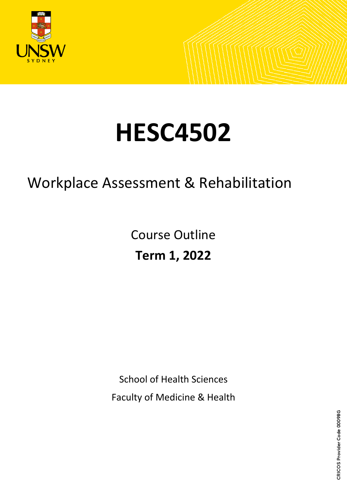

# **HESC4502**

## Workplace Assessment & Rehabilitation

Course Outline **Term 1, 2022**

School of Health Sciences

Faculty of Medicine & Health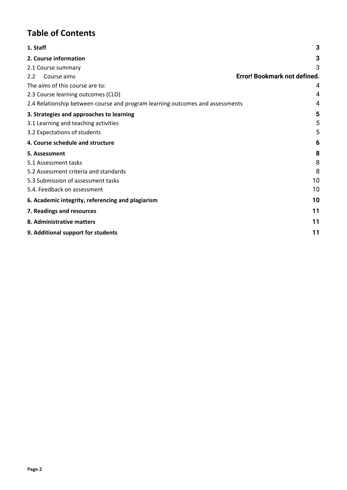## **Table of Contents**

| 1. Staff                                                                      | 3  |
|-------------------------------------------------------------------------------|----|
| 2. Course information                                                         | 3  |
| 2.1 Course summary                                                            | 3  |
| Error! Bookmark not defined.<br>Course aims<br>2.2                            |    |
| The aims of this course are to:                                               | 4  |
| 2.3 Course learning outcomes (CLO)                                            | 4  |
| 2.4 Relationship between course and program learning outcomes and assessments | 4  |
| 3. Strategies and approaches to learning                                      | 5  |
| 3.1 Learning and teaching activities                                          | 5  |
| 3.2 Expectations of students                                                  | 5  |
| 4. Course schedule and structure                                              | 6  |
| 5. Assessment                                                                 | 8  |
| 5.1 Assessment tasks                                                          | 8  |
| 5.2 Assessment criteria and standards                                         | 8  |
| 5.3 Submission of assessment tasks                                            | 10 |
| 5.4. Feedback on assessment                                                   | 10 |
| 6. Academic integrity, referencing and plagiarism                             | 10 |
| 7. Readings and resources                                                     | 11 |
| 8. Administrative matters                                                     | 11 |
| 9. Additional support for students                                            | 11 |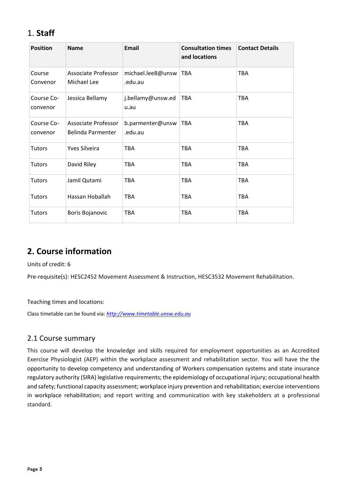## <span id="page-2-0"></span>1. **Staff**

| <b>Position</b>        | <b>Name</b>                              | <b>Email</b>                 | <b>Consultation times</b><br>and locations | <b>Contact Details</b> |
|------------------------|------------------------------------------|------------------------------|--------------------------------------------|------------------------|
| Course<br>Convenor     | Associate Professor<br>Michael Lee       | michael.lee8@unsw<br>.edu.au | <b>TBA</b>                                 | <b>TBA</b>             |
| Course Co-<br>convenor | Jessica Bellamy                          | j.bellamy@unsw.ed<br>u.au    | <b>TBA</b>                                 | <b>TBA</b>             |
| Course Co-<br>convenor | Associate Professor<br>Belinda Parmenter | b.parmenter@unsw<br>.edu.au  | <b>TBA</b>                                 | <b>TBA</b>             |
| <b>Tutors</b>          | <b>Yves Silveira</b>                     | <b>TBA</b>                   | <b>TBA</b>                                 | <b>TBA</b>             |
| <b>Tutors</b>          | David Riley                              | <b>TBA</b>                   | <b>TBA</b>                                 | <b>TBA</b>             |
| <b>Tutors</b>          | Jamil Qutami                             | <b>TBA</b>                   | <b>TBA</b>                                 | <b>TBA</b>             |
| <b>Tutors</b>          | Hassan Hoballah                          | <b>TBA</b>                   | <b>TBA</b>                                 | <b>TBA</b>             |
| <b>Tutors</b>          | Boris Bojanovic                          | <b>TBA</b>                   | <b>TBA</b>                                 | <b>TBA</b>             |

## <span id="page-2-1"></span>**2. Course information**

Units of credit: 6

Pre-requisite(s): HESC2452 Movement Assessment & Instruction, HESC3532 Movement Rehabilitation.

Teaching times and locations:

Class timetable can be found via: *[http://www.timetable.unsw.edu.au](http://www.timetable.unsw.edu.au/)*

#### <span id="page-2-2"></span>2.1 Course summary

This course will develop the knowledge and skills required for employment opportunities as an Accredited Exercise Physiologist (AEP) within the workplace assessment and rehabilitation sector. You will have the the opportunity to develop competency and understanding of Workers compensation systems and state insurance regulatory authority (SIRA) legislative requirements; the epidemiology of occupational injury; occupational health and safety; functional capacity assessment; workplace injury prevention and rehabilitation; exercise interventions in workplace rehabilitation; and report writing and communication with key stakeholders at a professional standard.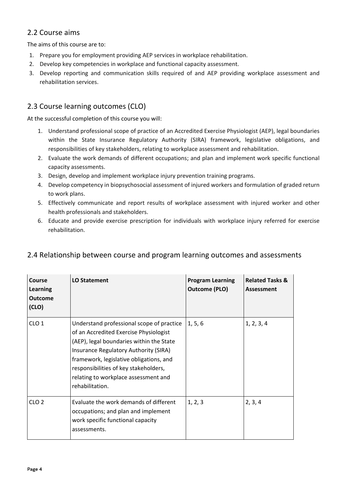### <span id="page-3-0"></span>2.2 Course aims

The aims of this course are to:

- 1. Prepare you for employment providing AEP services in workplace rehabilitation.
- 2. Develop key competencies in workplace and functional capacity assessment.
- 3. Develop reporting and communication skills required of and AEP providing workplace assessment and rehabilitation services.

## <span id="page-3-1"></span>2.3 Course learning outcomes (CLO)

At the successful completion of this course you will:

- 1. Understand professional scope of practice of an Accredited Exercise Physiologist (AEP), legal boundaries within the State Insurance Regulatory Authority (SIRA) framework, legislative obligations, and responsibilities of key stakeholders, relating to workplace assessment and rehabilitation.
- 2. Evaluate the work demands of different occupations; and plan and implement work specific functional capacity assessments.
- 3. Design, develop and implement workplace injury prevention training programs.
- 4. Develop competency in biopsychosocial assessment of injured workers and formulation of graded return to work plans.
- 5. Effectively communicate and report results of workplace assessment with injured worker and other health professionals and stakeholders.
- 6. Educate and provide exercise prescription for individuals with workplace injury referred for exercise rehabilitation.

#### <span id="page-3-2"></span>2.4 Relationship between course and program learning outcomes and assessments

| Course<br><b>Learning</b><br><b>Outcome</b><br>(CLO) | <b>LO Statement</b>                                                                                                                                                                                                                                                                                                     | <b>Program Learning</b><br><b>Outcome (PLO)</b> | <b>Related Tasks &amp;</b><br>Assessment |
|------------------------------------------------------|-------------------------------------------------------------------------------------------------------------------------------------------------------------------------------------------------------------------------------------------------------------------------------------------------------------------------|-------------------------------------------------|------------------------------------------|
| CLO <sub>1</sub>                                     | Understand professional scope of practice<br>of an Accredited Exercise Physiologist<br>(AEP), legal boundaries within the State<br>Insurance Regulatory Authority (SIRA)<br>framework, legislative obligations, and<br>responsibilities of key stakeholders,<br>relating to workplace assessment and<br>rehabilitation. | 1, 5, 6                                         | 1, 2, 3, 4                               |
| CLO <sub>2</sub>                                     | Evaluate the work demands of different<br>occupations; and plan and implement<br>work specific functional capacity<br>assessments.                                                                                                                                                                                      | 1, 2, 3                                         | 2, 3, 4                                  |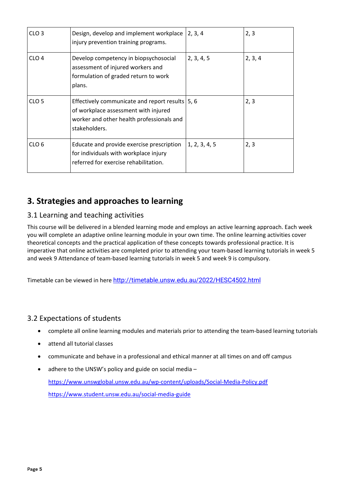| CLO <sub>3</sub> | Design, develop and implement workplace<br>injury prevention training programs.                                                                         | 2, 3, 4       | 2, 3    |
|------------------|---------------------------------------------------------------------------------------------------------------------------------------------------------|---------------|---------|
| CLO <sub>4</sub> | Develop competency in biopsychosocial<br>assessment of injured workers and<br>formulation of graded return to work<br>plans.                            | 2, 3, 4, 5    | 2, 3, 4 |
| CLO <sub>5</sub> | Effectively communicate and report results   5, 6<br>of workplace assessment with injured<br>worker and other health professionals and<br>stakeholders. |               | 2, 3    |
| CLO <sub>6</sub> | Educate and provide exercise prescription<br>for individuals with workplace injury<br>referred for exercise rehabilitation.                             | 1, 2, 3, 4, 5 | 2, 3    |

## <span id="page-4-0"></span>**3. Strategies and approaches to learning**

#### <span id="page-4-1"></span>3.1 Learning and teaching activities

This course will be delivered in a blended learning mode and employs an active learning approach. Each week you will complete an adaptive online learning module in your own time. The online learning activities cover theoretical concepts and the practical application of these concepts towards professional practice. It is imperative that online activities are completed prior to attending your team-based learning tutorials in week 5 and week 9 Attendance of team-based learning tutorials in week 5 and week 9 is compulsory.

Timetable can be viewed in here <http://timetable.unsw.edu.au/2022/HESC4502.html>

#### <span id="page-4-2"></span>3.2 Expectations of students

- complete all online learning modules and materials prior to attending the team-based learning tutorials
- attend all tutorial classes
- communicate and behave in a professional and ethical manner at all times on and off campus
- adhere to the UNSW's policy and guide on social media <https://www.unswglobal.unsw.edu.au/wp-content/uploads/Social-Media-Policy.pdf> <https://www.student.unsw.edu.au/social-media-guide>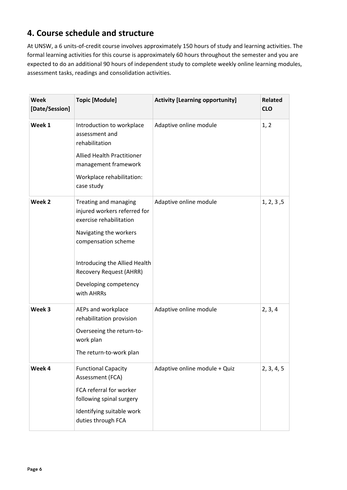## <span id="page-5-0"></span>**4. Course schedule and structure**

At UNSW, a 6 units-of-credit course involves approximately 150 hours of study and learning activities. The formal learning activities for this course is approximately 60 hours throughout the semester and you are expected to do an additional 90 hours of independent study to complete weekly online learning modules, assessment tasks, readings and consolidation activities.

| <b>Week</b><br>[Date/Session] | <b>Topic [Module]</b>                                                                                                                                                                                                                       | <b>Activity [Learning opportunity]</b> | <b>Related</b><br><b>CLO</b> |
|-------------------------------|---------------------------------------------------------------------------------------------------------------------------------------------------------------------------------------------------------------------------------------------|----------------------------------------|------------------------------|
| Week 1                        | Introduction to workplace<br>assessment and<br>rehabilitation<br>Allied Health Practitioner<br>management framework<br>Workplace rehabilitation:<br>case study                                                                              | Adaptive online module                 | 1, 2                         |
| Week 2                        | Treating and managing<br>injured workers referred for<br>exercise rehabilitation<br>Navigating the workers<br>compensation scheme<br>Introducing the Allied Health<br><b>Recovery Request (AHRR)</b><br>Developing competency<br>with AHRRs | Adaptive online module                 | 1, 2, 3, 5                   |
| Week 3                        | AEPs and workplace<br>rehabilitation provision<br>Overseeing the return-to-<br>work plan<br>The return-to-work plan                                                                                                                         | Adaptive online module                 | 2, 3, 4                      |
| Week 4                        | <b>Functional Capacity</b><br>Assessment (FCA)<br>FCA referral for worker<br>following spinal surgery<br>Identifying suitable work<br>duties through FCA                                                                                    | Adaptive online module + Quiz          | 2, 3, 4, 5                   |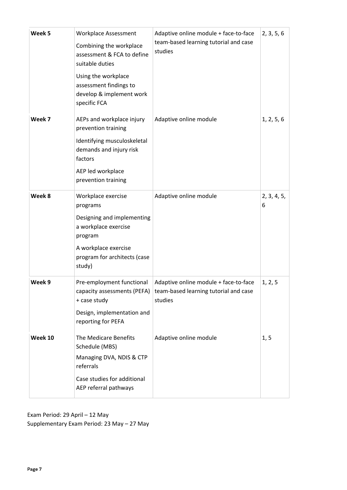| Week 5  | <b>Workplace Assessment</b><br>Combining the workplace<br>assessment & FCA to define<br>suitable duties<br>Using the workplace<br>assessment findings to<br>develop & implement work<br>specific FCA | Adaptive online module + face-to-face<br>team-based learning tutorial and case<br>studies | 2, 3, 5, 6       |
|---------|------------------------------------------------------------------------------------------------------------------------------------------------------------------------------------------------------|-------------------------------------------------------------------------------------------|------------------|
| Week 7  | AEPs and workplace injury<br>prevention training<br>Identifying musculoskeletal<br>demands and injury risk<br>factors<br>AEP led workplace<br>prevention training                                    | Adaptive online module                                                                    | 1, 2, 5, 6       |
| Week 8  | Workplace exercise<br>programs<br>Designing and implementing<br>a workplace exercise<br>program<br>A workplace exercise<br>program for architects (case<br>study)                                    | Adaptive online module                                                                    | 2, 3, 4, 5,<br>6 |
| Week 9  | Pre-employment functional<br>capacity assessments (PEFA)<br>+ case study<br>Design, implementation and<br>reporting for PEFA                                                                         | Adaptive online module + face-to-face<br>team-based learning tutorial and case<br>studies | 1, 2, 5          |
| Week 10 | The Medicare Benefits<br>Schedule (MBS)<br>Managing DVA, NDIS & CTP<br>referrals<br>Case studies for additional<br>AEP referral pathways                                                             | Adaptive online module                                                                    | 1, 5             |

Exam Period: 29 April – 12 May Supplementary Exam Period: 23 May – 27 May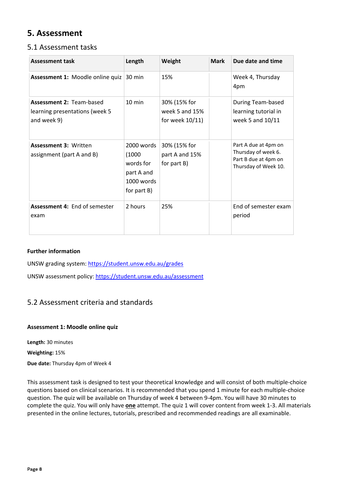## <span id="page-7-0"></span>**5. Assessment**

#### <span id="page-7-1"></span>5.1 Assessment tasks

| <b>Assessment task</b>                                                           | Length                                                                         | Weight                                            | <b>Mark</b> | Due date and time                                                                           |
|----------------------------------------------------------------------------------|--------------------------------------------------------------------------------|---------------------------------------------------|-------------|---------------------------------------------------------------------------------------------|
| Assessment 1: Moodle online quiz                                                 | 30 min                                                                         | 15%                                               |             | Week 4, Thursday<br>4pm                                                                     |
| <b>Assessment 2: Team-based</b><br>learning presentations (week 5<br>and week 9) | 10 min                                                                         | 30% (15% for<br>week 5 and 15%<br>for week 10/11) |             | During Team-based<br>learning tutorial in<br>week 5 and 10/11                               |
| <b>Assessment 3: Written</b><br>assignment (part A and B)                        | 2000 words<br>(1000)<br>words for<br>part A and<br>$1000$ words<br>for part B) | 30% (15% for<br>part A and 15%<br>for part B)     |             | Part A due at 4pm on<br>Thursday of week 6.<br>Part B due at 4pm on<br>Thursday of Week 10. |
| <b>Assessment 4: End of semester</b><br>exam                                     | 2 hours                                                                        | 25%                                               |             | End of semester exam<br>period                                                              |

#### **Further information**

UNSW grading system:<https://student.unsw.edu.au/grades>

UNSW assessment policy:<https://student.unsw.edu.au/assessment>

#### <span id="page-7-2"></span>5.2 Assessment criteria and standards

#### **Assessment 1: Moodle online quiz**

**Length:** 30 minutes

**Weighting:** 15%

**Due date:** Thursday 4pm of Week 4

This assessment task is designed to test your theoretical knowledge and will consist of both multiple-choice questions based on clinical scenarios. It is recommended that you spend 1 minute for each multiple-choice question. The quiz will be available on Thursday of week 4 between 9-4pm. You will have 30 minutes to complete the quiz. You will only have **one** attempt. The quiz 1 will cover content from week 1-3. All materials presented in the online lectures, tutorials, prescribed and recommended readings are all examinable.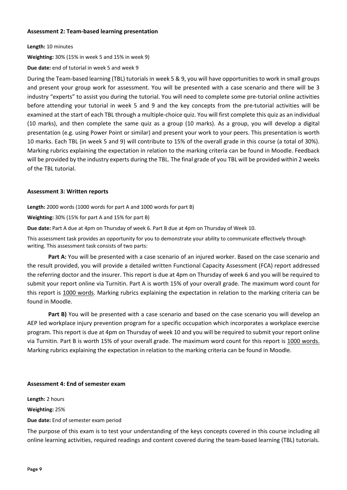#### **Assessment 2: Team-based learning presentation**

**Length:** 10 minutes

**Weighting:** 30% (15% in week 5 and 15% in week 9)

**Due date:** end of tutorial in week 5 and week 9

During the Team-based learning (TBL) tutorials in week 5 & 9, you will have opportunities to work in small groups and present your group work for assessment. You will be presented with a case scenario and there will be 3 industry "experts" to assist you during the tutorial. You will need to complete some pre-tutorial online activities before attending your tutorial in week 5 and 9 and the key concepts from the pre-tutorial activities will be examined at the start of each TBL through a multiple-choice quiz. You will first complete this quiz as an individual (10 marks), and then complete the same quiz as a group (10 marks). As a group, you will develop a digital presentation (e.g. using Power Point or similar) and present your work to your peers. This presentation is worth 10 marks. Each TBL (in week 5 and 9) will contribute to 15% of the overall grade in this course (a total of 30%). Marking rubrics explaining the expectation in relation to the marking criteria can be found in Moodle. Feedback will be provided by the industry experts during the TBL. The final grade of you TBL will be provided within 2 weeks of the TBL tutorial.

#### **Assessment 3: Written reports**

**Length:** 2000 words (1000 words for part A and 1000 words for part B)

**Weighting:** 30% (15% for part A and 15% for part B)

**Due date:** Part A due at 4pm on Thursday of week 6. Part B due at 4pm on Thursday of Week 10.

This assessment task provides an opportunity for you to demonstrate your ability to communicate effectively through writing. This assessment task consists of two parts:

**Part A:** You will be presented with a case scenario of an injured worker. Based on the case scenario and the result provided, you will provide a detailed written Functional Capacity Assessment (FCA) report addressed the referring doctor and the insurer. This report is due at 4pm on Thursday of week 6 and you will be required to submit your report online via Turnitin. Part A is worth 15% of your overall grade. The maximum word count for this report is 1000 words. Marking rubrics explaining the expectation in relation to the marking criteria can be found in Moodle.

**Part B)** You will be presented with a case scenario and based on the case scenario you will develop an AEP led workplace injury prevention program for a specific occupation which incorporates a workplace exercise program. This report is due at 4pm on Thursday of week 10 and you will be required to submit your report online via Turnitin. Part B is worth 15% of your overall grade. The maximum word count for this report is 1000 words. Marking rubrics explaining the expectation in relation to the marking criteria can be found in Moodle.

#### **Assessment 4: End of semester exam**

**Length:** 2 hours **Weighting:** 25% **Due date:** End of semester exam period

The purpose of this exam is to test your understanding of the keys concepts covered in this course including all online learning activities, required readings and content covered during the team-based learning (TBL) tutorials.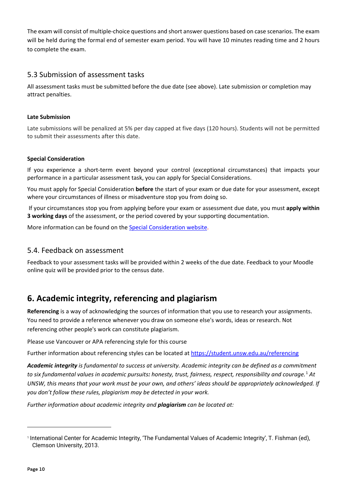The exam will consist of multiple-choice questions and short answer questions based on case scenarios. The exam will be held during the formal end of semester exam period. You will have 10 minutes reading time and 2 hours to complete the exam.

#### <span id="page-9-0"></span>5.3 Submission of assessment tasks

All assessment tasks must be submitted before the due date (see above). Late submission or completion may attract penalties.

#### **Late Submission**

Late submissions will be penalized at 5% per day capped at five days (120 hours). Students will not be permitted to submit their assessments after this date.

#### **Special Consideration**

If you experience a short-term event beyond your control (exceptional circumstances) that impacts your performance in a particular assessment task, you can apply for Special Considerations.

You must apply for Special Consideration **before** the start of your exam or due date for your assessment, except where your circumstances of illness or misadventure stop you from doing so.

If your circumstances stop you from applying before your exam or assessment due date, you must **apply within 3 working days** of the assessment, or the period covered by your supporting documentation.

More information can be found on the [Special Consideration website.](https://www.student.unsw.edu.au/special-consideration)

#### <span id="page-9-1"></span>5.4. Feedback on assessment

Feedback to your assessment tasks will be provided within 2 weeks of the due date. Feedback to your Moodle online quiz will be provided prior to the census date.

## <span id="page-9-2"></span>**6. Academic integrity, referencing and plagiarism**

**Referencing** is a way of acknowledging the sources of information that you use to research your assignments. You need to provide a reference whenever you draw on someone else's words, ideas or research. Not referencing other people's work can constitute plagiarism.

Please use Vancouver or APA referencing style for this course

Further information about referencing styles can be located at<https://student.unsw.edu.au/referencing>

*Academic integrity is fundamental to success at university. Academic integrity can be defined as a commitment to six fundamental values in academic pursuits: honesty, trust, fairness, respect, responsibility and courage.*[1](#page-9-3) *At UNSW, this means that your work must be your own, and others' ideas should be appropriately acknowledged. If you don't follow these rules, plagiarism may be detected in your work.* 

*Further information about academic integrity and plagiarism can be located at:* 

<span id="page-9-3"></span><sup>1</sup> International Center for Academic Integrity, 'The Fundamental Values of Academic Integrity', T. Fishman (ed), Clemson University, 2013.